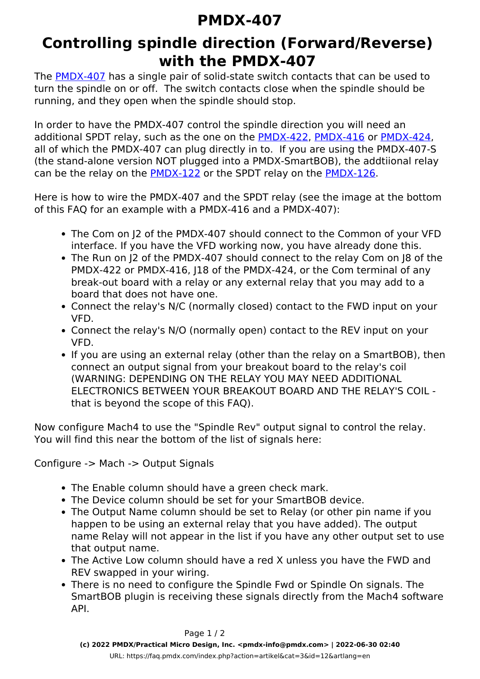## **PMDX-407**

## **Controlling spindle direction (Forward/Reverse) with the PMDX-407**

The [PMDX-407](http://www.pmdx.com/pmdx-407) has a single pair of solid-state switch contacts that can be used to turn the spindle on or off. The switch contacts close when the spindle should be running, and they open when the spindle should stop.

In order to have the PMDX-407 control the spindle direction you will need an additional SPDT relay, such as the one on the PMDX-422, PMDX-416 or PMDX-424, all of which the PMDX-407 can plug directly in to. If you are using the PMDX-407-S (the stand-alone version NOT plugged into a PMDX-SmartBOB), the addtiional relay can be the relay on the PMDX-122 or the SPDT relay on the PMDX-126.

Here is how to wire the PMDX-407 and the SPDT relay (see the image at the bottom of this FAQ for an example with a PMDX-416 and a PMDX-407):

- The Com on J2 of the PMDX-407 should connect to the Common of your VFD interface. If you have the VFD working now, you have already done this.
- The Run on J2 of the PMDX-407 should connect to the relay Com on J8 of the PMDX-422 or PMDX-416, I18 of the PMDX-424, or the Com terminal of any break-out board with a relay or any external relay that you may add to a board that does not have one.
- Connect the relay's N/C (normally closed) contact to the FWD input on your VFD.
- Connect the relay's N/O (normally open) contact to the REV input on your VFD.
- If you are using an external relay (other than the relay on a SmartBOB), then connect an output signal from your breakout board to the relay's coil (WARNING: DEPENDING ON THE RELAY YOU MAY NEED ADDITIONAL ELECTRONICS BETWEEN YOUR BREAKOUT BOARD AND THE RELAY'S COIL that is beyond the scope of this FAQ).

Now configure Mach4 to use the "Spindle Rev" output signal to control the relay. You will find this near the bottom of the list of signals here:

Configure -> Mach -> Output Signals

- The Enable column should have a green check mark.
- The Device column should be set for your SmartBOB device.
- The Output Name column should be set to Relay (or other pin name if you happen to be using an external relay that you have added). The output name Relay will not appear in the list if you have any other output set to use that output name.
- The Active Low column should have a red X unless you have the FWD and REV swapped in your wiring.
- There is no need to configure the Spindle Fwd or Spindle On signals. The SmartBOB plugin is receiving these signals directly from the Mach4 software API.

Page 1 / 2